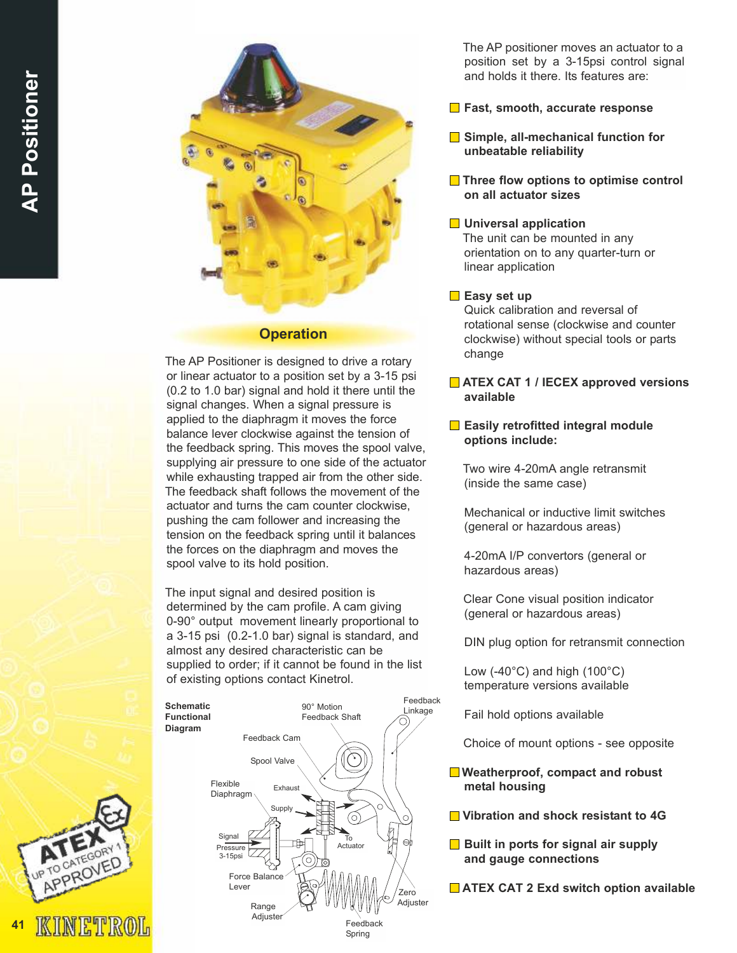

#### **Operation**

The AP Positioner is designed to drive a rotary or linear actuator to a position set by a 3-15 psi (0.2 to 1.0 bar) signal and hold it there until the signal changes. When a signal pressure is applied to the diaphragm it moves the force balance lever clockwise against the tension of the feedback spring. This moves the spool valve, supplying air pressure to one side of the actuator while exhausting trapped air from the other side. The feedback shaft follows the movement of the actuator and turns the cam counter clockwise, pushing the cam follower and increasing the tension on the feedback spring until it balances the forces on the diaphragm and moves the spool valve to its hold position.

The input signal and desired position is determined by the cam profile. A cam giving 0-90° output movement linearly proportional to a 3-15 psi (0.2-1.0 bar) signal is standard, and almost any desired characteristic can be supplied to order; if it cannot be found in the list of existing options contact Kinetrol.



The AP positioner moves an actuator to a position set by a 3-15psi control signal and holds it there. Its features are:

- $\blacksquare$  Fast, smooth, accurate response
- **■** Simple, all-mechanical function for unbeatable reliability
- Three flow options to optimise control on all actuator sizes

# **Universal application**

The unit can be mounted in any orientation on to any quarter-turn or linear application

# $\blacksquare$  Easy set up

Quick calibration and reversal of rotational sense (clockwise and counter clockwise) without special tools or parts change

### **E** ATEX CAT 1 / IECEX approved versions available

#### $\Box$  Easily retrofitted integral module options include:

Two wire 4-20mA angle retransmit (inside the same case)

Mechanical or inductive limit switches (general or hazardous areas)

4-20mA I/P convertors (general or hazardous areas)

Clear Cone visual position indicator (general or hazardous areas)

DIN plug option for retransmit connection

Low  $(-40^{\circ}$ C) and high  $(100^{\circ}$ C) temperature versions available

Fail hold options available

Choice of mount options - see opposite

- Weatherproof, compact and robust metal housing
- Vibration and shock resistant to 4G
- $\Box$  Built in ports for signal air supply and gauge connections
- **ATEX CAT 2 Exd switch option available**

41

ROVE

KINETROL